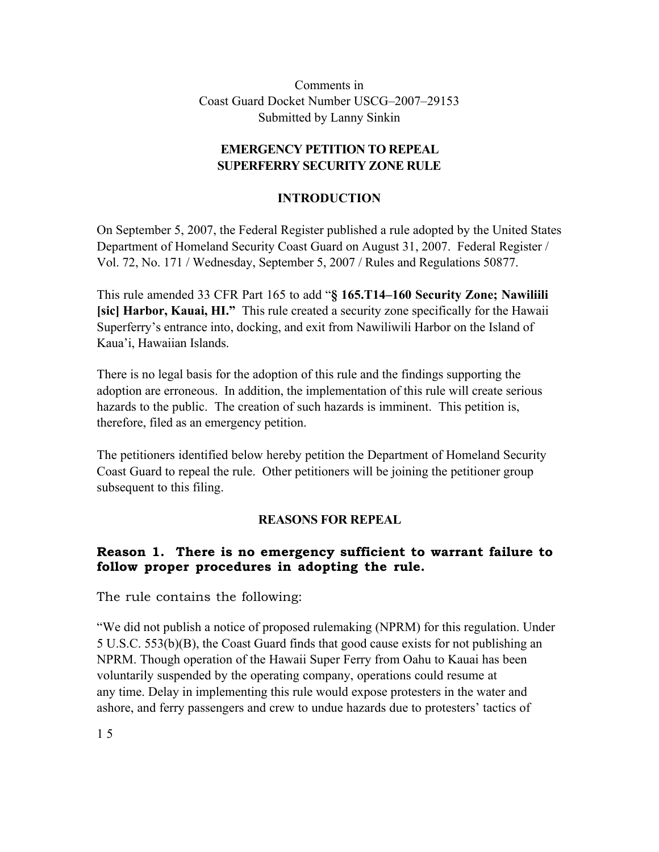Comments in Coast Guard Docket Number USCG–2007–29153 Submitted by Lanny Sinkin

#### **EMERGENCY PETITION TO REPEAL SUPERFERRY SECURITY ZONE RULE**

### **INTRODUCTION**

On September 5, 2007, the Federal Register published a rule adopted by the United States Department of Homeland Security Coast Guard on August 31, 2007. Federal Register / Vol. 72, No. 171 / Wednesday, September 5, 2007 / Rules and Regulations 50877.

This rule amended 33 CFR Part 165 to add "**§ 165.T14–160 Security Zone; Nawiliili [sic] Harbor, Kauai, HI."** This rule created a security zone specifically for the Hawaii Superferry's entrance into, docking, and exit from Nawiliwili Harbor on the Island of Kaua'i, Hawaiian Islands.

There is no legal basis for the adoption of this rule and the findings supporting the adoption are erroneous. In addition, the implementation of this rule will create serious hazards to the public. The creation of such hazards is imminent. This petition is, therefore, filed as an emergency petition.

The petitioners identified below hereby petition the Department of Homeland Security Coast Guard to repeal the rule. Other petitioners will be joining the petitioner group subsequent to this filing.

#### **REASONS FOR REPEAL**

## **Reason 1. There is no emergency sufficient to warrant failure to follow proper procedures in adopting the rule.**

The rule contains the following:

"We did not publish a notice of proposed rulemaking (NPRM) for this regulation. Under 5 U.S.C. 553(b)(B), the Coast Guard finds that good cause exists for not publishing an NPRM. Though operation of the Hawaii Super Ferry from Oahu to Kauai has been voluntarily suspended by the operating company, operations could resume at any time. Delay in implementing this rule would expose protesters in the water and ashore, and ferry passengers and crew to undue hazards due to protesters' tactics of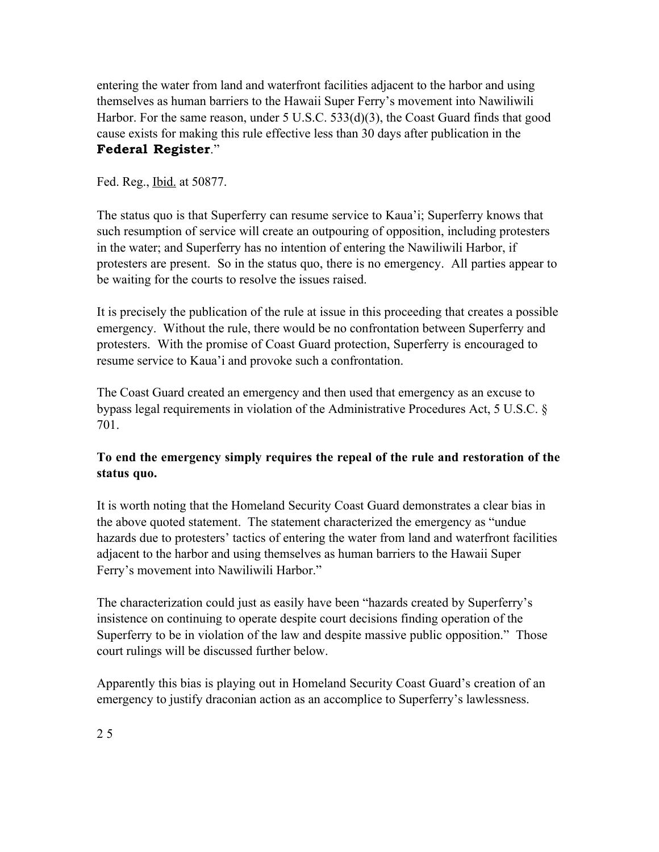entering the water from land and waterfront facilities adjacent to the harbor and using themselves as human barriers to the Hawaii Super Ferry's movement into Nawiliwili Harbor. For the same reason, under 5 U.S.C. 533(d)(3), the Coast Guard finds that good cause exists for making this rule effective less than 30 days after publication in the **Federal Register**."

Fed. Reg., Ibid. at 50877.

The status quo is that Superferry can resume service to Kaua'i; Superferry knows that such resumption of service will create an outpouring of opposition, including protesters in the water; and Superferry has no intention of entering the Nawiliwili Harbor, if protesters are present. So in the status quo, there is no emergency. All parties appear to be waiting for the courts to resolve the issues raised.

It is precisely the publication of the rule at issue in this proceeding that creates a possible emergency. Without the rule, there would be no confrontation between Superferry and protesters. With the promise of Coast Guard protection, Superferry is encouraged to resume service to Kaua'i and provoke such a confrontation.

The Coast Guard created an emergency and then used that emergency as an excuse to bypass legal requirements in violation of the Administrative Procedures Act, 5 U.S.C. § 701.

# **To end the emergency simply requires the repeal of the rule and restoration of the status quo.**

It is worth noting that the Homeland Security Coast Guard demonstrates a clear bias in the above quoted statement. The statement characterized the emergency as "undue hazards due to protesters' tactics of entering the water from land and waterfront facilities adjacent to the harbor and using themselves as human barriers to the Hawaii Super Ferry's movement into Nawiliwili Harbor."

The characterization could just as easily have been "hazards created by Superferry's insistence on continuing to operate despite court decisions finding operation of the Superferry to be in violation of the law and despite massive public opposition." Those court rulings will be discussed further below.

Apparently this bias is playing out in Homeland Security Coast Guard's creation of an emergency to justify draconian action as an accomplice to Superferry's lawlessness.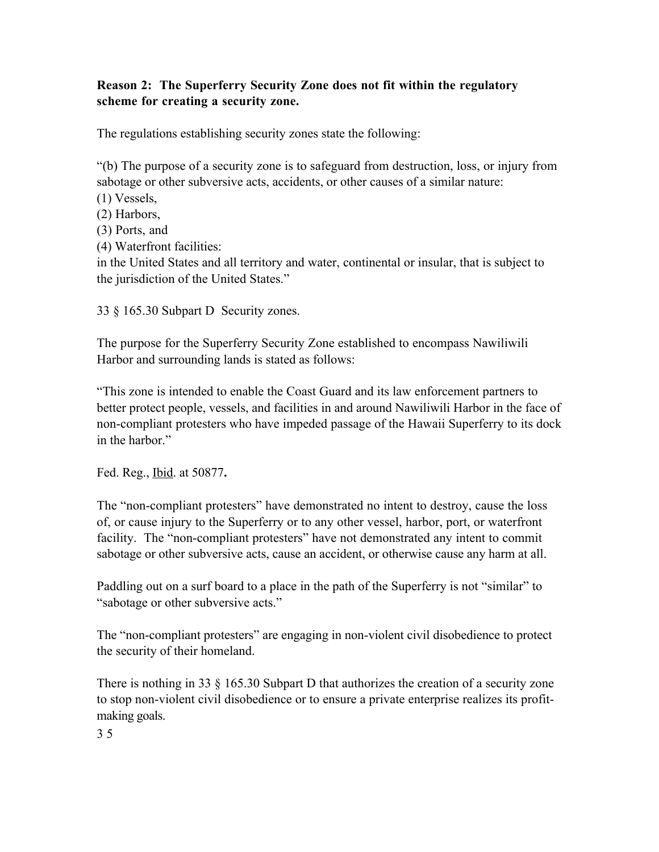### **Reason 2: The Superferry Security Zone does not fit within the regulatory scheme for creating a security zone.**

The regulations establishing security zones state the following:

"(b) The purpose of a security zone is to safeguard from destruction, loss, or injury from sabotage or other subversive acts, accidents, or other causes of a similar nature:

(1) Vessels,

(2) Harbors,

(3) Ports, and

(4) Waterfront facilities:

in the United States and all territory and water, continental or insular, that is subject to the jurisdiction of the United States."

33 § 165.30 Subpart D Security zones.

The purpose for the Superferry Security Zone established to encompass Nawiliwili Harbor and surrounding lands is stated as follows:

"This zone is intended to enable the Coast Guard and its law enforcement partners to better protect people, vessels, and facilities in and around Nawiliwili Harbor in the face of non-compliant protesters who have impeded passage of the Hawaii Superferry to its dock in the harbor."

Fed. Reg., Ibid. at 50877**.**

The "non-compliant protesters" have demonstrated no intent to destroy, cause the loss of, or cause injury to the Superferry or to any other vessel, harbor, port, or waterfront facility. The "non-compliant protesters" have not demonstrated any intent to commit sabotage or other subversive acts, cause an accident, or otherwise cause any harm at all.

Paddling out on a surf board to a place in the path of the Superferry is not "similar" to "sabotage or other subversive acts."

The "non-compliant protesters" are engaging in non-violent civil disobedience to protect the security of their homeland.

There is nothing in 33 § 165.30 Subpart D that authorizes the creation of a security zone to stop non-violent civil disobedience or to ensure a private enterprise realizes its profitmaking goals.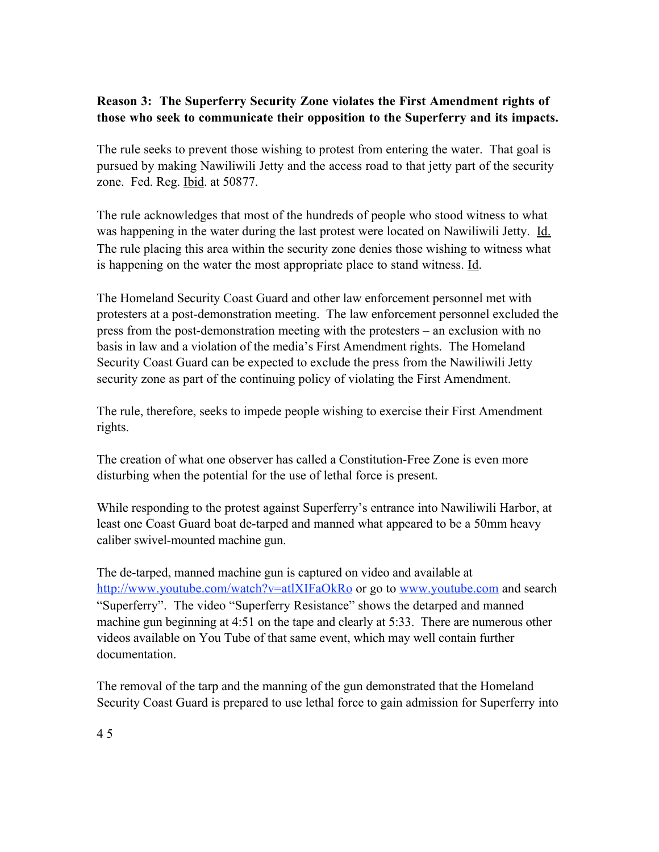### **Reason 3: The Superferry Security Zone violates the First Amendment rights of those who seek to communicate their opposition to the Superferry and its impacts.**

The rule seeks to prevent those wishing to protest from entering the water. That goal is pursued by making Nawiliwili Jetty and the access road to that jetty part of the security zone. Fed. Reg. *Ibid.* at 50877.

The rule acknowledges that most of the hundreds of people who stood witness to what was happening in the water during the last protest were located on Nawiliwili Jetty. Id. The rule placing this area within the security zone denies those wishing to witness what is happening on the water the most appropriate place to stand witness. Id.

The Homeland Security Coast Guard and other law enforcement personnel met with protesters at a post-demonstration meeting. The law enforcement personnel excluded the press from the post-demonstration meeting with the protesters – an exclusion with no basis in law and a violation of the media's First Amendment rights. The Homeland Security Coast Guard can be expected to exclude the press from the Nawiliwili Jetty security zone as part of the continuing policy of violating the First Amendment.

The rule, therefore, seeks to impede people wishing to exercise their First Amendment rights.

The creation of what one observer has called a Constitution-Free Zone is even more disturbing when the potential for the use of lethal force is present.

While responding to the protest against Superferry's entrance into Nawiliwili Harbor, at least one Coast Guard boat de-tarped and manned what appeared to be a 50mm heavy caliber swivel-mounted machine gun.

The de-tarped, manned machine gun is captured on video and available at http://www.youtube.com/watch?v=atlXIFaOkRo or go to www.youtube.com and search "Superferry". The video "Superferry Resistance" shows the detarped and manned machine gun beginning at 4:51 on the tape and clearly at 5:33. There are numerous other videos available on You Tube of that same event, which may well contain further documentation.

The removal of the tarp and the manning of the gun demonstrated that the Homeland Security Coast Guard is prepared to use lethal force to gain admission for Superferry into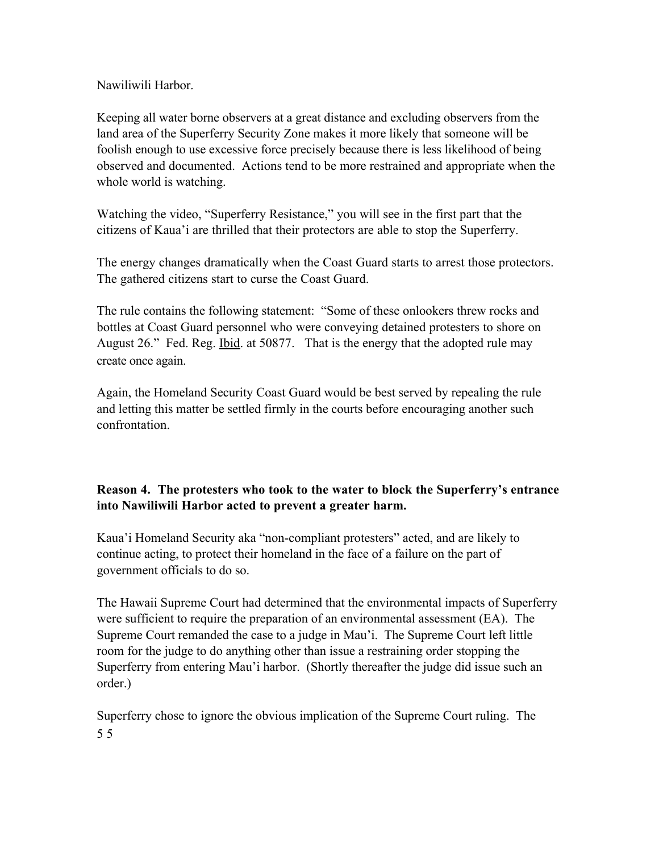Nawiliwili Harbor.

Keeping all water borne observers at a great distance and excluding observers from the land area of the Superferry Security Zone makes it more likely that someone will be foolish enough to use excessive force precisely because there is less likelihood of being observed and documented. Actions tend to be more restrained and appropriate when the whole world is watching.

Watching the video, "Superferry Resistance," you will see in the first part that the citizens of Kaua'i are thrilled that their protectors are able to stop the Superferry.

The energy changes dramatically when the Coast Guard starts to arrest those protectors. The gathered citizens start to curse the Coast Guard.

The rule contains the following statement: "Some of these onlookers threw rocks and bottles at Coast Guard personnel who were conveying detained protesters to shore on August 26." Fed. Reg. Ibid. at 50877. That is the energy that the adopted rule may create once again.

Again, the Homeland Security Coast Guard would be best served by repealing the rule and letting this matter be settled firmly in the courts before encouraging another such confrontation.

## **Reason 4. The protesters who took to the water to block the Superferry's entrance into Nawiliwili Harbor acted to prevent a greater harm.**

Kaua'i Homeland Security aka "non-compliant protesters" acted, and are likely to continue acting, to protect their homeland in the face of a failure on the part of government officials to do so.

The Hawaii Supreme Court had determined that the environmental impacts of Superferry were sufficient to require the preparation of an environmental assessment (EA). The Supreme Court remanded the case to a judge in Mau'i. The Supreme Court left little room for the judge to do anything other than issue a restraining order stopping the Superferry from entering Mau'i harbor. (Shortly thereafter the judge did issue such an order.)

Superferry chose to ignore the obvious implication of the Supreme Court ruling. The 5 5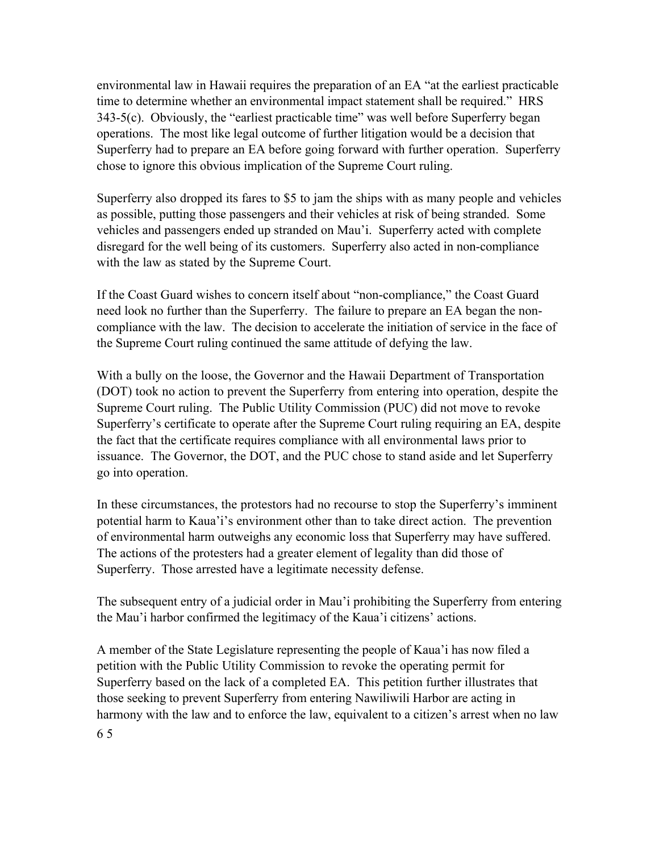environmental law in Hawaii requires the preparation of an EA "at the earliest practicable time to determine whether an environmental impact statement shall be required." HRS 343-5(c). Obviously, the "earliest practicable time" was well before Superferry began operations. The most like legal outcome of further litigation would be a decision that Superferry had to prepare an EA before going forward with further operation. Superferry chose to ignore this obvious implication of the Supreme Court ruling.

Superferry also dropped its fares to \$5 to jam the ships with as many people and vehicles as possible, putting those passengers and their vehicles at risk of being stranded. Some vehicles and passengers ended up stranded on Mau'i. Superferry acted with complete disregard for the well being of its customers. Superferry also acted in non-compliance with the law as stated by the Supreme Court.

If the Coast Guard wishes to concern itself about "non-compliance," the Coast Guard need look no further than the Superferry. The failure to prepare an EA began the noncompliance with the law. The decision to accelerate the initiation of service in the face of the Supreme Court ruling continued the same attitude of defying the law.

With a bully on the loose, the Governor and the Hawaii Department of Transportation (DOT) took no action to prevent the Superferry from entering into operation, despite the Supreme Court ruling. The Public Utility Commission (PUC) did not move to revoke Superferry's certificate to operate after the Supreme Court ruling requiring an EA, despite the fact that the certificate requires compliance with all environmental laws prior to issuance. The Governor, the DOT, and the PUC chose to stand aside and let Superferry go into operation.

In these circumstances, the protestors had no recourse to stop the Superferry's imminent potential harm to Kaua'i's environment other than to take direct action. The prevention of environmental harm outweighs any economic loss that Superferry may have suffered. The actions of the protesters had a greater element of legality than did those of Superferry. Those arrested have a legitimate necessity defense.

The subsequent entry of a judicial order in Mau'i prohibiting the Superferry from entering the Mau'i harbor confirmed the legitimacy of the Kaua'i citizens' actions.

A member of the State Legislature representing the people of Kaua'i has now filed a petition with the Public Utility Commission to revoke the operating permit for Superferry based on the lack of a completed EA. This petition further illustrates that those seeking to prevent Superferry from entering Nawiliwili Harbor are acting in harmony with the law and to enforce the law, equivalent to a citizen's arrest when no law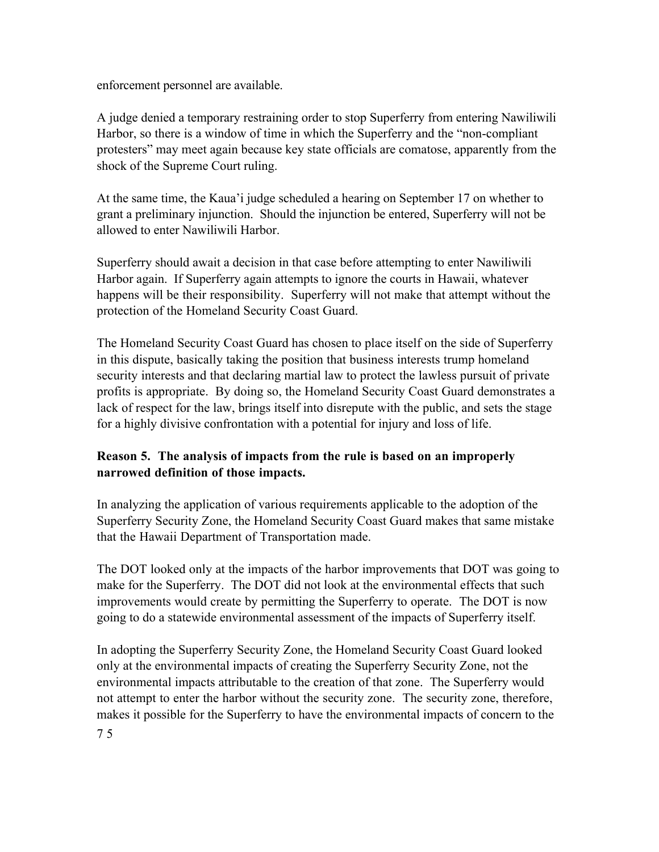enforcement personnel are available.

A judge denied a temporary restraining order to stop Superferry from entering Nawiliwili Harbor, so there is a window of time in which the Superferry and the "non-compliant protesters" may meet again because key state officials are comatose, apparently from the shock of the Supreme Court ruling.

At the same time, the Kaua'i judge scheduled a hearing on September 17 on whether to grant a preliminary injunction. Should the injunction be entered, Superferry will not be allowed to enter Nawiliwili Harbor.

Superferry should await a decision in that case before attempting to enter Nawiliwili Harbor again. If Superferry again attempts to ignore the courts in Hawaii, whatever happens will be their responsibility. Superferry will not make that attempt without the protection of the Homeland Security Coast Guard.

The Homeland Security Coast Guard has chosen to place itself on the side of Superferry in this dispute, basically taking the position that business interests trump homeland security interests and that declaring martial law to protect the lawless pursuit of private profits is appropriate. By doing so, the Homeland Security Coast Guard demonstrates a lack of respect for the law, brings itself into disrepute with the public, and sets the stage for a highly divisive confrontation with a potential for injury and loss of life.

## **Reason 5. The analysis of impacts from the rule is based on an improperly narrowed definition of those impacts.**

In analyzing the application of various requirements applicable to the adoption of the Superferry Security Zone, the Homeland Security Coast Guard makes that same mistake that the Hawaii Department of Transportation made.

The DOT looked only at the impacts of the harbor improvements that DOT was going to make for the Superferry. The DOT did not look at the environmental effects that such improvements would create by permitting the Superferry to operate. The DOT is now going to do a statewide environmental assessment of the impacts of Superferry itself.

In adopting the Superferry Security Zone, the Homeland Security Coast Guard looked only at the environmental impacts of creating the Superferry Security Zone, not the environmental impacts attributable to the creation of that zone. The Superferry would not attempt to enter the harbor without the security zone. The security zone, therefore, makes it possible for the Superferry to have the environmental impacts of concern to the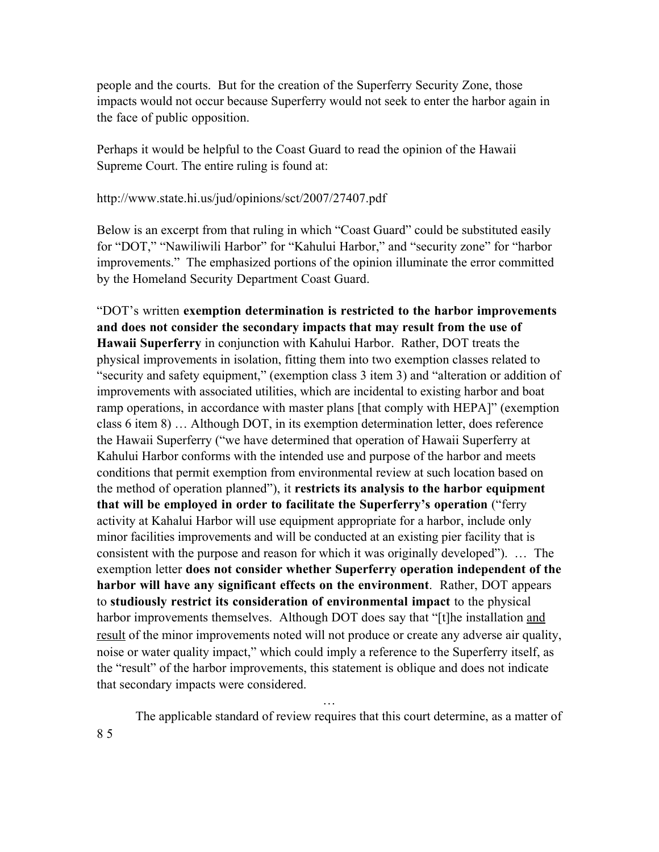people and the courts. But for the creation of the Superferry Security Zone, those impacts would not occur because Superferry would not seek to enter the harbor again in the face of public opposition.

Perhaps it would be helpful to the Coast Guard to read the opinion of the Hawaii Supreme Court. The entire ruling is found at:

#### http://www.state.hi.us/jud/opinions/sct/2007/27407.pdf

Below is an excerpt from that ruling in which "Coast Guard" could be substituted easily for "DOT," "Nawiliwili Harbor" for "Kahului Harbor," and "security zone" for "harbor improvements." The emphasized portions of the opinion illuminate the error committed by the Homeland Security Department Coast Guard.

"DOT's written **exemption determination is restricted to the harbor improvements and does not consider the secondary impacts that may result from the use of Hawaii Superferry** in conjunction with Kahului Harbor. Rather, DOT treats the physical improvements in isolation, fitting them into two exemption classes related to "security and safety equipment," (exemption class 3 item 3) and "alteration or addition of improvements with associated utilities, which are incidental to existing harbor and boat ramp operations, in accordance with master plans [that comply with HEPA]" (exemption class 6 item 8) … Although DOT, in its exemption determination letter, does reference the Hawaii Superferry ("we have determined that operation of Hawaii Superferry at Kahului Harbor conforms with the intended use and purpose of the harbor and meets conditions that permit exemption from environmental review at such location based on the method of operation planned"), it **restricts its analysis to the harbor equipment that will be employed in order to facilitate the Superferry's operation** ("ferry activity at Kahalui Harbor will use equipment appropriate for a harbor, include only minor facilities improvements and will be conducted at an existing pier facility that is consistent with the purpose and reason for which it was originally developed"). … The exemption letter **does not consider whether Superferry operation independent of the harbor will have any significant effects on the environment**. Rather, DOT appears to **studiously restrict its consideration of environmental impact** to the physical harbor improvements themselves. Although DOT does say that "[t]he installation and result of the minor improvements noted will not produce or create any adverse air quality, noise or water quality impact," which could imply a reference to the Superferry itself, as the "result" of the harbor improvements, this statement is oblique and does not indicate that secondary impacts were considered.

The applicable standard of review requires that this court determine, as a matter of

…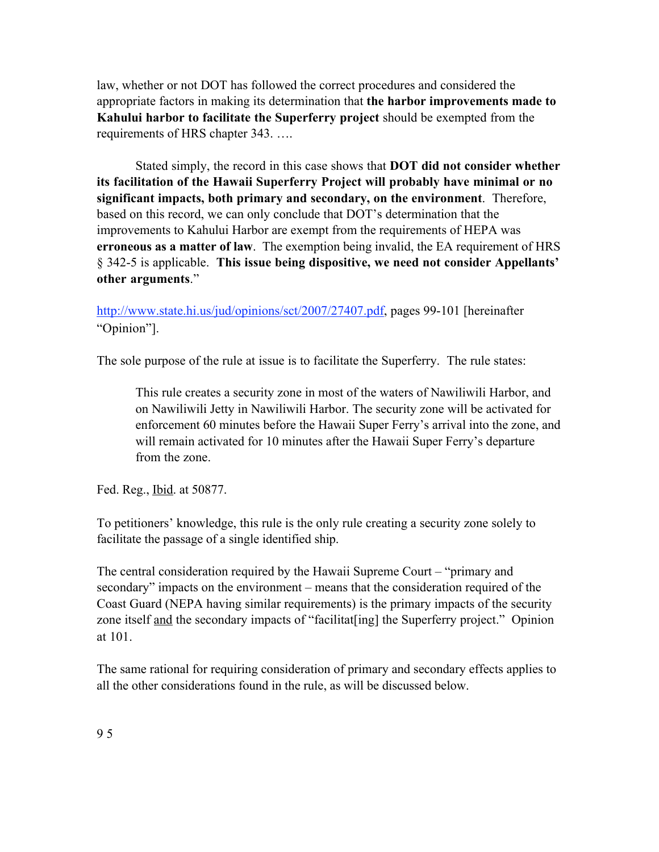law, whether or not DOT has followed the correct procedures and considered the appropriate factors in making its determination that **the harbor improvements made to Kahului harbor to facilitate the Superferry project** should be exempted from the requirements of HRS chapter 343. ….

Stated simply, the record in this case shows that **DOT did not consider whether its facilitation of the Hawaii Superferry Project will probably have minimal or no significant impacts, both primary and secondary, on the environment**. Therefore, based on this record, we can only conclude that DOT's determination that the improvements to Kahului Harbor are exempt from the requirements of HEPA was **erroneous as a matter of law**. The exemption being invalid, the EA requirement of HRS § 342-5 is applicable. **This issue being dispositive, we need not consider Appellants' other arguments**."

http://www.state.hi.us/jud/opinions/sct/2007/27407.pdf, pages 99-101 [hereinafter "Opinion"].

The sole purpose of the rule at issue is to facilitate the Superferry. The rule states:

This rule creates a security zone in most of the waters of Nawiliwili Harbor, and on Nawiliwili Jetty in Nawiliwili Harbor. The security zone will be activated for enforcement 60 minutes before the Hawaii Super Ferry's arrival into the zone, and will remain activated for 10 minutes after the Hawaii Super Ferry's departure from the zone.

Fed. Reg., Ibid. at 50877.

To petitioners' knowledge, this rule is the only rule creating a security zone solely to facilitate the passage of a single identified ship.

The central consideration required by the Hawaii Supreme Court – "primary and secondary" impacts on the environment – means that the consideration required of the Coast Guard (NEPA having similar requirements) is the primary impacts of the security zone itself and the secondary impacts of "facilitat [ing] the Superferry project." Opinion at 101.

The same rational for requiring consideration of primary and secondary effects applies to all the other considerations found in the rule, as will be discussed below.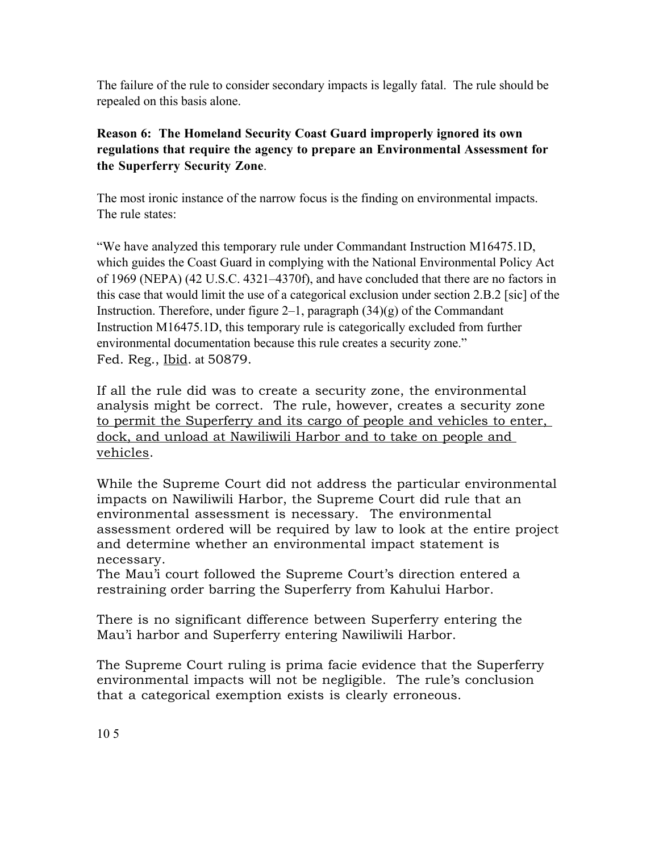The failure of the rule to consider secondary impacts is legally fatal. The rule should be repealed on this basis alone.

# **Reason 6: The Homeland Security Coast Guard improperly ignored its own regulations that require the agency to prepare an Environmental Assessment for the Superferry Security Zone**.

The most ironic instance of the narrow focus is the finding on environmental impacts. The rule states:

"We have analyzed this temporary rule under Commandant Instruction M16475.1D, which guides the Coast Guard in complying with the National Environmental Policy Act of 1969 (NEPA) (42 U.S.C. 4321–4370f), and have concluded that there are no factors in this case that would limit the use of a categorical exclusion under section 2.B.2 [sic] of the Instruction. Therefore, under figure  $2-1$ , paragraph  $(34)(g)$  of the Commandant Instruction M16475.1D, this temporary rule is categorically excluded from further environmental documentation because this rule creates a security zone." Fed. Reg., Ibid. at 50879.

If all the rule did was to create a security zone, the environmental analysis might be correct. The rule, however, creates a security zone to permit the Superferry and its cargo of people and vehicles to enter, dock, and unload at Nawiliwili Harbor and to take on people and vehicles.

While the Supreme Court did not address the particular environmental impacts on Nawiliwili Harbor, the Supreme Court did rule that an environmental assessment is necessary. The environmental assessment ordered will be required by law to look at the entire project and determine whether an environmental impact statement is necessary.

The Mau'i court followed the Supreme Court's direction entered a restraining order barring the Superferry from Kahului Harbor.

There is no significant difference between Superferry entering the Mau'i harbor and Superferry entering Nawiliwili Harbor.

The Supreme Court ruling is prima facie evidence that the Superferry environmental impacts will not be negligible. The rule's conclusion that a categorical exemption exists is clearly erroneous.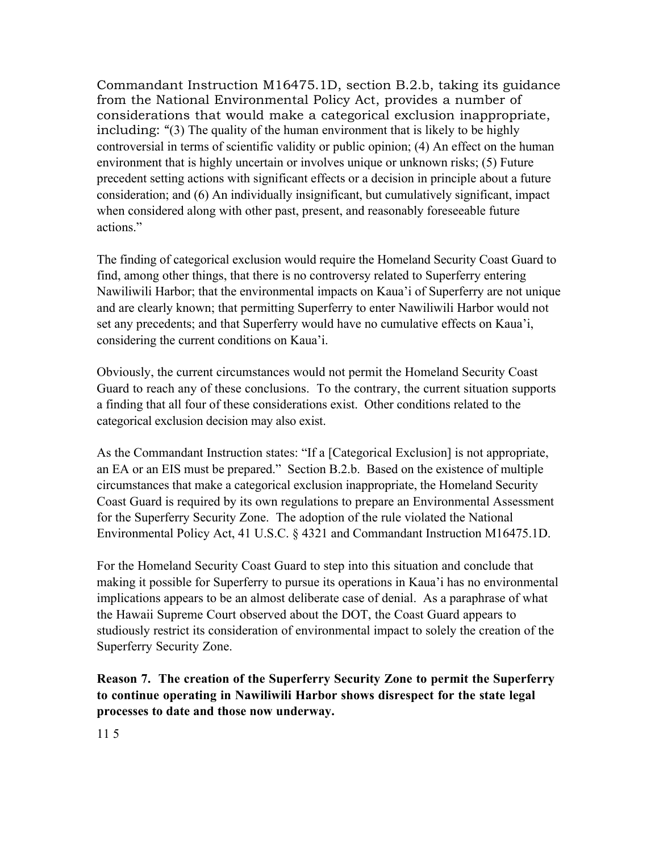Commandant Instruction M16475.1D, section B.2.b, taking its guidance from the National Environmental Policy Act, provides a number of considerations that would make a categorical exclusion inappropriate, including: "(3) The quality of the human environment that is likely to be highly controversial in terms of scientific validity or public opinion; (4) An effect on the human environment that is highly uncertain or involves unique or unknown risks; (5) Future precedent setting actions with significant effects or a decision in principle about a future consideration; and (6) An individually insignificant, but cumulatively significant, impact when considered along with other past, present, and reasonably foreseeable future actions."

The finding of categorical exclusion would require the Homeland Security Coast Guard to find, among other things, that there is no controversy related to Superferry entering Nawiliwili Harbor; that the environmental impacts on Kaua'i of Superferry are not unique and are clearly known; that permitting Superferry to enter Nawiliwili Harbor would not set any precedents; and that Superferry would have no cumulative effects on Kaua'i, considering the current conditions on Kaua'i.

Obviously, the current circumstances would not permit the Homeland Security Coast Guard to reach any of these conclusions. To the contrary, the current situation supports a finding that all four of these considerations exist. Other conditions related to the categorical exclusion decision may also exist.

As the Commandant Instruction states: "If a [Categorical Exclusion] is not appropriate, an EA or an EIS must be prepared." Section B.2.b. Based on the existence of multiple circumstances that make a categorical exclusion inappropriate, the Homeland Security Coast Guard is required by its own regulations to prepare an Environmental Assessment for the Superferry Security Zone. The adoption of the rule violated the National Environmental Policy Act, 41 U.S.C. § 4321 and Commandant Instruction M16475.1D.

For the Homeland Security Coast Guard to step into this situation and conclude that making it possible for Superferry to pursue its operations in Kaua'i has no environmental implications appears to be an almost deliberate case of denial. As a paraphrase of what the Hawaii Supreme Court observed about the DOT, the Coast Guard appears to studiously restrict its consideration of environmental impact to solely the creation of the Superferry Security Zone.

**Reason 7. The creation of the Superferry Security Zone to permit the Superferry to continue operating in Nawiliwili Harbor shows disrespect for the state legal processes to date and those now underway.**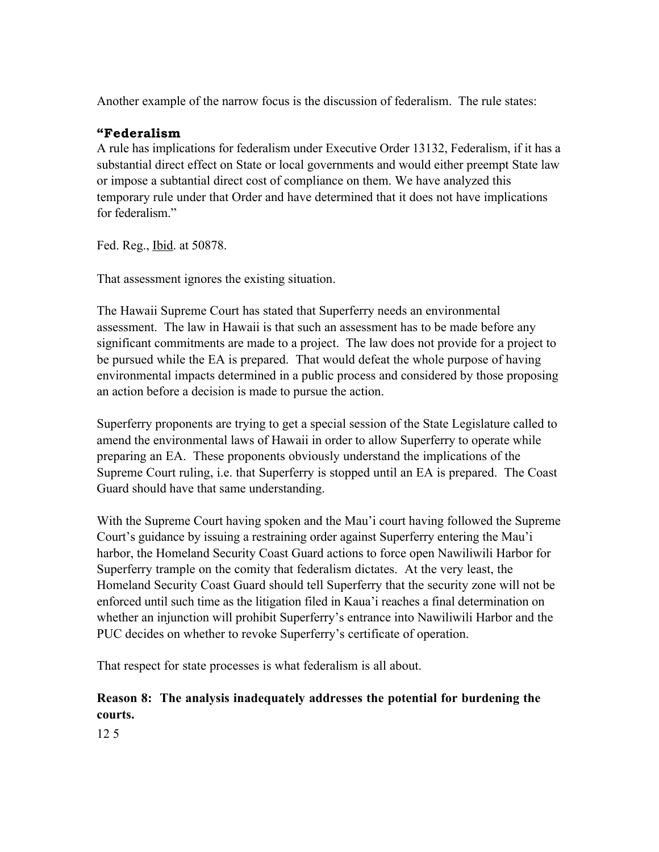Another example of the narrow focus is the discussion of federalism. The rule states:

### **"Federalism**

A rule has implications for federalism under Executive Order 13132, Federalism, if it has a substantial direct effect on State or local governments and would either preempt State law or impose a subtantial direct cost of compliance on them. We have analyzed this temporary rule under that Order and have determined that it does not have implications for federalism."

Fed. Reg., Ibid. at 50878.

That assessment ignores the existing situation.

The Hawaii Supreme Court has stated that Superferry needs an environmental assessment. The law in Hawaii is that such an assessment has to be made before any significant commitments are made to a project. The law does not provide for a project to be pursued while the EA is prepared. That would defeat the whole purpose of having environmental impacts determined in a public process and considered by those proposing an action before a decision is made to pursue the action.

Superferry proponents are trying to get a special session of the State Legislature called to amend the environmental laws of Hawaii in order to allow Superferry to operate while preparing an EA. These proponents obviously understand the implications of the Supreme Court ruling, i.e. that Superferry is stopped until an EA is prepared. The Coast Guard should have that same understanding.

With the Supreme Court having spoken and the Mau'i court having followed the Supreme Court's guidance by issuing a restraining order against Superferry entering the Mau'i harbor, the Homeland Security Coast Guard actions to force open Nawiliwili Harbor for Superferry trample on the comity that federalism dictates. At the very least, the Homeland Security Coast Guard should tell Superferry that the security zone will not be enforced until such time as the litigation filed in Kaua'i reaches a final determination on whether an injunction will prohibit Superferry's entrance into Nawiliwili Harbor and the PUC decides on whether to revoke Superferry's certificate of operation.

That respect for state processes is what federalism is all about.

### **Reason 8: The analysis inadequately addresses the potential for burdening the courts.**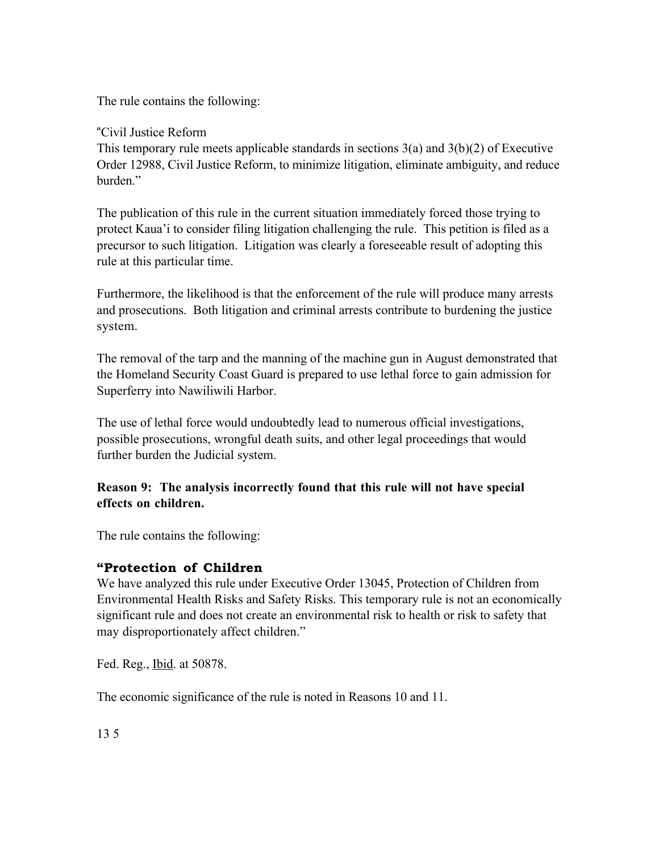The rule contains the following:

## "Civil Justice Reform

This temporary rule meets applicable standards in sections  $3(a)$  and  $3(b)(2)$  of Executive Order 12988, Civil Justice Reform, to minimize litigation, eliminate ambiguity, and reduce burden<sup>"</sup>

The publication of this rule in the current situation immediately forced those trying to protect Kaua'i to consider filing litigation challenging the rule. This petition is filed as a precursor to such litigation. Litigation was clearly a foreseeable result of adopting this rule at this particular time.

Furthermore, the likelihood is that the enforcement of the rule will produce many arrests and prosecutions. Both litigation and criminal arrests contribute to burdening the justice system.

The removal of the tarp and the manning of the machine gun in August demonstrated that the Homeland Security Coast Guard is prepared to use lethal force to gain admission for Superferry into Nawiliwili Harbor.

The use of lethal force would undoubtedly lead to numerous official investigations, possible prosecutions, wrongful death suits, and other legal proceedings that would further burden the Judicial system.

## **Reason 9: The analysis incorrectly found that this rule will not have special effects on children.**

The rule contains the following:

## **"Protection of Children**

We have analyzed this rule under Executive Order 13045, Protection of Children from Environmental Health Risks and Safety Risks. This temporary rule is not an economically significant rule and does not create an environmental risk to health or risk to safety that may disproportionately affect children."

Fed. Reg., Ibid. at 50878.

The economic significance of the rule is noted in Reasons 10 and 11.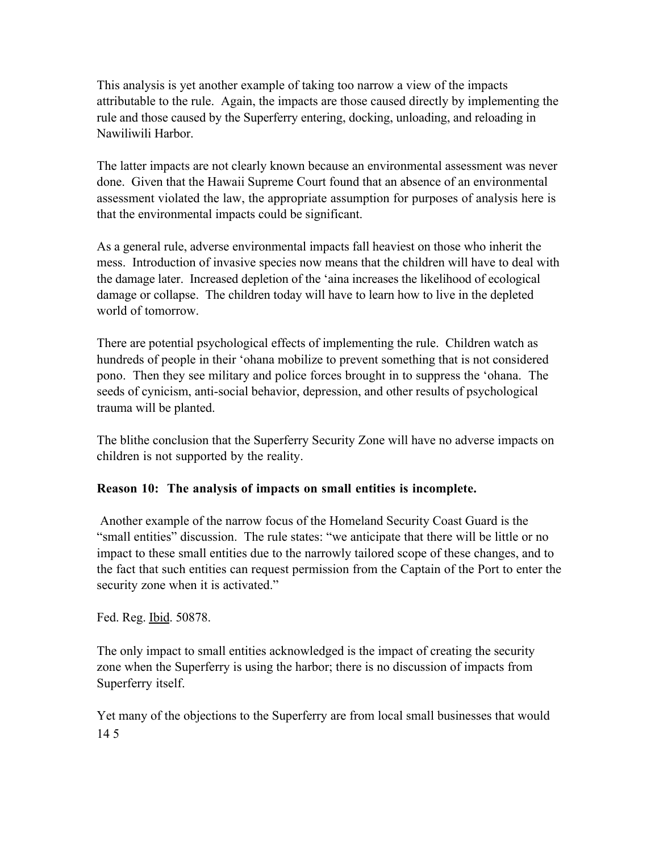This analysis is yet another example of taking too narrow a view of the impacts attributable to the rule. Again, the impacts are those caused directly by implementing the rule and those caused by the Superferry entering, docking, unloading, and reloading in Nawiliwili Harbor.

The latter impacts are not clearly known because an environmental assessment was never done. Given that the Hawaii Supreme Court found that an absence of an environmental assessment violated the law, the appropriate assumption for purposes of analysis here is that the environmental impacts could be significant.

As a general rule, adverse environmental impacts fall heaviest on those who inherit the mess. Introduction of invasive species now means that the children will have to deal with the damage later. Increased depletion of the 'aina increases the likelihood of ecological damage or collapse. The children today will have to learn how to live in the depleted world of tomorrow.

There are potential psychological effects of implementing the rule. Children watch as hundreds of people in their 'ohana mobilize to prevent something that is not considered pono. Then they see military and police forces brought in to suppress the 'ohana. The seeds of cynicism, anti-social behavior, depression, and other results of psychological trauma will be planted.

The blithe conclusion that the Superferry Security Zone will have no adverse impacts on children is not supported by the reality.

## **Reason 10: The analysis of impacts on small entities is incomplete.**

 Another example of the narrow focus of the Homeland Security Coast Guard is the "small entities" discussion. The rule states: "we anticipate that there will be little or no impact to these small entities due to the narrowly tailored scope of these changes, and to the fact that such entities can request permission from the Captain of the Port to enter the security zone when it is activated."

Fed. Reg. Ibid. 50878.

The only impact to small entities acknowledged is the impact of creating the security zone when the Superferry is using the harbor; there is no discussion of impacts from Superferry itself.

Yet many of the objections to the Superferry are from local small businesses that would 14 5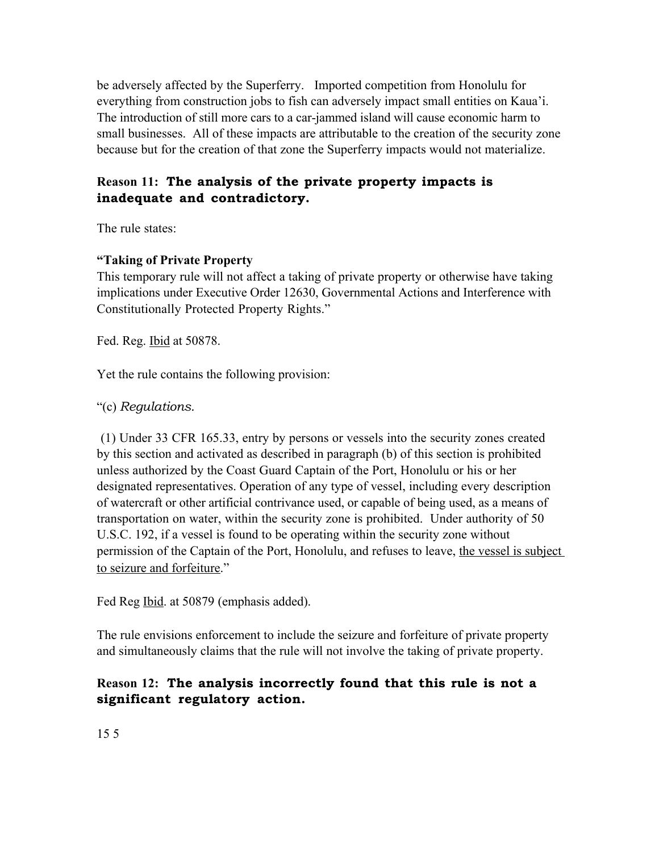be adversely affected by the Superferry. Imported competition from Honolulu for everything from construction jobs to fish can adversely impact small entities on Kaua'i. The introduction of still more cars to a car-jammed island will cause economic harm to small businesses. All of these impacts are attributable to the creation of the security zone because but for the creation of that zone the Superferry impacts would not materialize.

# **Reason 11: The analysis of the private property impacts is inadequate and contradictory.**

The rule states:

### **"Taking of Private Property**

This temporary rule will not affect a taking of private property or otherwise have taking implications under Executive Order 12630, Governmental Actions and Interference with Constitutionally Protected Property Rights."

Fed. Reg. Ibid at 50878.

Yet the rule contains the following provision:

"(c) *Regulations.*

(1) Under 33 CFR 165.33, entry by persons or vessels into the security zones created by this section and activated as described in paragraph (b) of this section is prohibited unless authorized by the Coast Guard Captain of the Port, Honolulu or his or her designated representatives. Operation of any type of vessel, including every description of watercraft or other artificial contrivance used, or capable of being used, as a means of transportation on water, within the security zone is prohibited. Under authority of 50 U.S.C. 192, if a vessel is found to be operating within the security zone without permission of the Captain of the Port, Honolulu, and refuses to leave, the vessel is subject to seizure and forfeiture."

Fed Reg <u>Ibid</u>. at 50879 (emphasis added).

The rule envisions enforcement to include the seizure and forfeiture of private property and simultaneously claims that the rule will not involve the taking of private property.

# **Reason 12: The analysis incorrectly found that this rule is not a significant regulatory action.**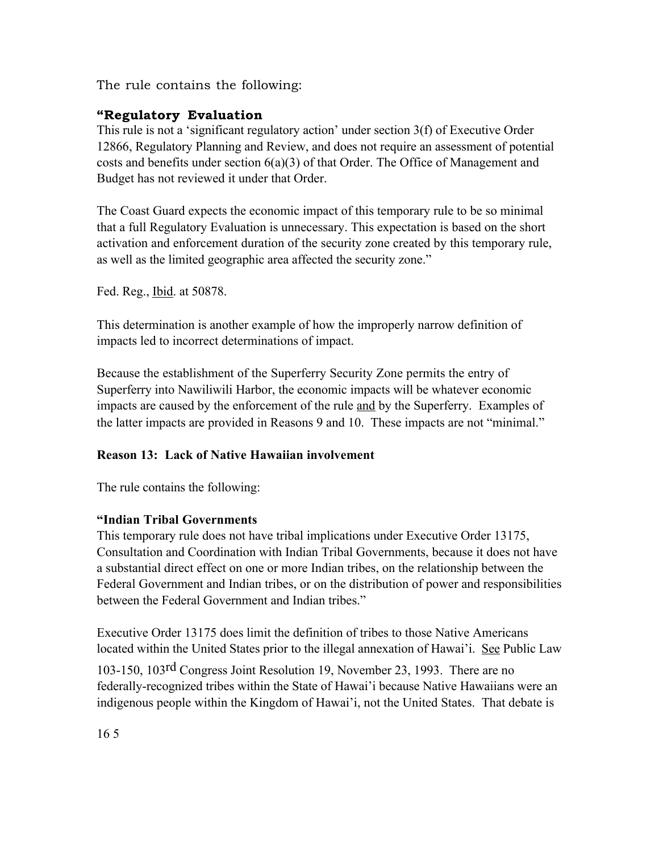The rule contains the following:

# **"Regulatory Evaluation**

This rule is not a 'significant regulatory action' under section 3(f) of Executive Order 12866, Regulatory Planning and Review, and does not require an assessment of potential costs and benefits under section 6(a)(3) of that Order. The Office of Management and Budget has not reviewed it under that Order.

The Coast Guard expects the economic impact of this temporary rule to be so minimal that a full Regulatory Evaluation is unnecessary. This expectation is based on the short activation and enforcement duration of the security zone created by this temporary rule, as well as the limited geographic area affected the security zone."

Fed. Reg., Ibid. at 50878.

This determination is another example of how the improperly narrow definition of impacts led to incorrect determinations of impact.

Because the establishment of the Superferry Security Zone permits the entry of Superferry into Nawiliwili Harbor, the economic impacts will be whatever economic impacts are caused by the enforcement of the rule and by the Superferry. Examples of the latter impacts are provided in Reasons 9 and 10. These impacts are not "minimal."

## **Reason 13: Lack of Native Hawaiian involvement**

The rule contains the following:

#### **"Indian Tribal Governments**

This temporary rule does not have tribal implications under Executive Order 13175, Consultation and Coordination with Indian Tribal Governments, because it does not have a substantial direct effect on one or more Indian tribes, on the relationship between the Federal Government and Indian tribes, or on the distribution of power and responsibilities between the Federal Government and Indian tribes."

Executive Order 13175 does limit the definition of tribes to those Native Americans located within the United States prior to the illegal annexation of Hawai'i. See Public Law

103-150, 103rd Congress Joint Resolution 19, November 23, 1993. There are no federally-recognized tribes within the State of Hawai'i because Native Hawaiians were an indigenous people within the Kingdom of Hawai'i, not the United States. That debate is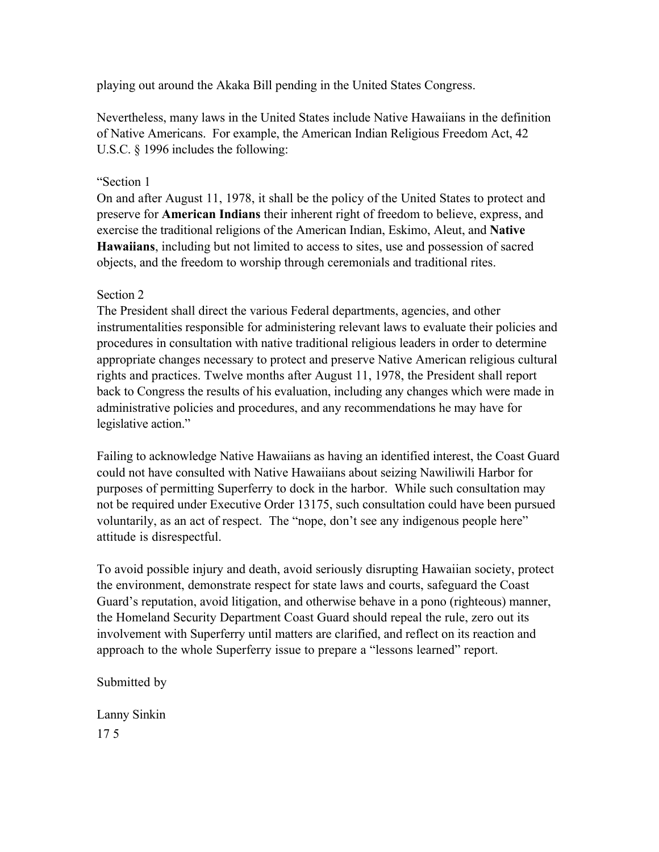playing out around the Akaka Bill pending in the United States Congress.

Nevertheless, many laws in the United States include Native Hawaiians in the definition of Native Americans. For example, the American Indian Religious Freedom Act, 42 U.S.C. § 1996 includes the following:

#### "Section 1

On and after August 11, 1978, it shall be the policy of the United States to protect and preserve for **American Indians** their inherent right of freedom to believe, express, and exercise the traditional religions of the American Indian, Eskimo, Aleut, and **Native Hawaiians**, including but not limited to access to sites, use and possession of sacred objects, and the freedom to worship through ceremonials and traditional rites.

#### Section 2

The President shall direct the various Federal departments, agencies, and other instrumentalities responsible for administering relevant laws to evaluate their policies and procedures in consultation with native traditional religious leaders in order to determine appropriate changes necessary to protect and preserve Native American religious cultural rights and practices. Twelve months after August 11, 1978, the President shall report back to Congress the results of his evaluation, including any changes which were made in administrative policies and procedures, and any recommendations he may have for legislative action."

Failing to acknowledge Native Hawaiians as having an identified interest, the Coast Guard could not have consulted with Native Hawaiians about seizing Nawiliwili Harbor for purposes of permitting Superferry to dock in the harbor. While such consultation may not be required under Executive Order 13175, such consultation could have been pursued voluntarily, as an act of respect. The "nope, don't see any indigenous people here" attitude is disrespectful.

To avoid possible injury and death, avoid seriously disrupting Hawaiian society, protect the environment, demonstrate respect for state laws and courts, safeguard the Coast Guard's reputation, avoid litigation, and otherwise behave in a pono (righteous) manner, the Homeland Security Department Coast Guard should repeal the rule, zero out its involvement with Superferry until matters are clarified, and reflect on its reaction and approach to the whole Superferry issue to prepare a "lessons learned" report.

#### Submitted by

Lanny Sinkin 17 5